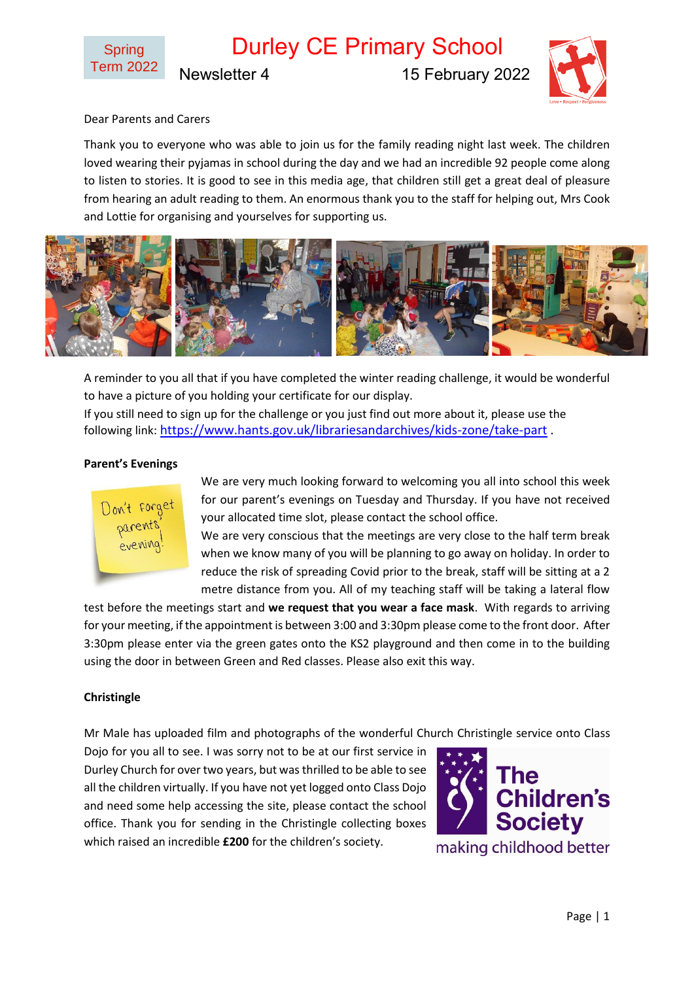Durley CE Primary School Newsletter 4 15 February 2022



## Dear Parents and Carers

Thank you to everyone who was able to join us for the family reading night last week. The children loved wearing their pyjamas in school during the day and we had an incredible 92 people come along to listen to stories. It is good to see in this media age, that children still get a great deal of pleasure from hearing an adult reading to them. An enormous thank you to the staff for helping out, Mrs Cook and Lottie for organising and yourselves for supporting us.



A reminder to you all that if you have completed the winter reading challenge, it would be wonderful to have a picture of you holding your certificate for our display. If you still need to sign up for the challenge or you just find out more about it, please use the following link: <https://www.hants.gov.uk/librariesandarchives/kids-zone/take-part> .

#### **Parent's Evenings**



We are very much looking forward to welcoming you all into school this week for our parent's evenings on Tuesday and Thursday. If you have not received your allocated time slot, please contact the school office.

We are very conscious that the meetings are very close to the half term break when we know many of you will be planning to go away on holiday. In order to reduce the risk of spreading Covid prior to the break, staff will be sitting at a 2 metre distance from you. All of my teaching staff will be taking a lateral flow

test before the meetings start and **we request that you wear a face mask**. With regards to arriving for your meeting, if the appointment is between 3:00 and 3:30pm please come to the front door. After 3:30pm please enter via the green gates onto the KS2 playground and then come in to the building using the door in between Green and Red classes. Please also exit this way.

#### **Christingle**

Mr Male has uploaded film and photographs of the wonderful Church Christingle service onto Class

Dojo for you all to see. I was sorry not to be at our first service in Durley Church for over two years, but was thrilled to be able to see all the children virtually. If you have not yet logged onto Class Dojo and need some help accessing the site, please contact the school office. Thank you for sending in the Christingle collecting boxes which raised an incredible **£200** for the children's society.